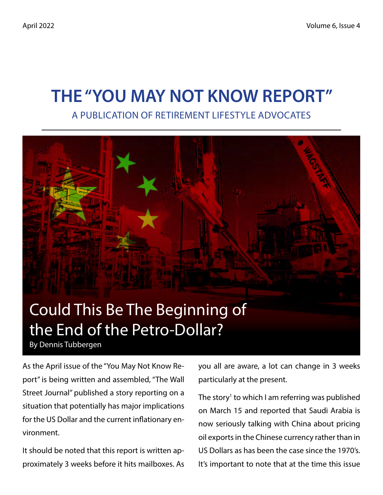# THE "YOU MAY NOT KNOW REPORT"

A PUBLICATION OF RETIREMENT LIFESTYLE ADVOCATES



By Dennis Tubbergen

As the April issue of the "You May Not Know Report" is being written and assembled, "The Wall Street Journal" published a story reporting on a situation that potentially has major implications for the US Dollar and the current inflationary environment.

It should be noted that this report is written approximately 3 weeks before it hits mailboxes. As you all are aware, a lot can change in 3 weeks particularly at the present.

The story<sup>1</sup> to which I am referring was published on March 15 and reported that Saudi Arabia is now seriously talking with China about pricing oil exports in the Chinese currency rather than in US Dollars as has been the case since the 1970's. It's important to note that at the time this issue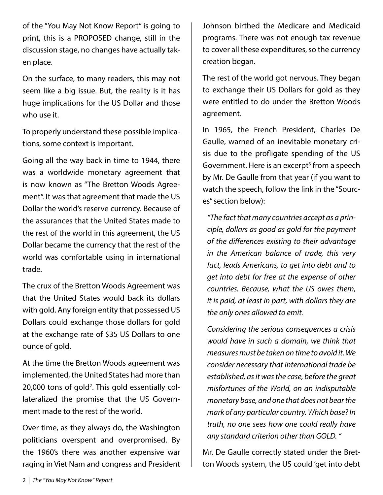of the "You May Not Know Report" is going to print, this is a PROPOSED change, still in the discussion stage, no changes have actually taken place.

On the surface, to many readers, this may not seem like a big issue. But, the reality is it has huge implications for the US Dollar and those who use it.

To properly understand these possible implications, some context is important.

Going all the way back in time to 1944, there was a worldwide monetary agreement that is now known as "The Bretton Woods Agreement". It was that agreement that made the US Dollar the world's reserve currency. Because of the assurances that the United States made to the rest of the world in this agreement, the US Dollar became the currency that the rest of the world was comfortable using in international trade.

The crux of the Bretton Woods Agreement was that the United States would back its dollars with gold. Any foreign entity that possessed US Dollars could exchange those dollars for gold at the exchange rate of \$35 US Dollars to one ounce of gold.

At the time the Bretton Woods agreement was implemented, the United States had more than 20,000 tons of gold<sup>2</sup>. This gold essentially collateralized the promise that the US Government made to the rest of the world.

Over time, as they always do, the Washington politicians overspent and overpromised. By the 1960's there was another expensive war raging in Viet Nam and congress and President

Johnson birthed the Medicare and Medicaid programs. There was not enough tax revenue to cover all these expenditures, so the currency creation began.

The rest of the world got nervous. They began to exchange their US Dollars for gold as they were entitled to do under the Bretton Woods agreement.

In 1965, the French President, Charles De Gaulle, warned of an inevitable monetary crisis due to the profligate spending of the US Government. Here is an excerpt<sup>3</sup> from a speech by Mr. De Gaulle from that year (if you want to watch the speech, follow the link in the "Sources" section below):

*"The fact that many countries accept as a principle, dollars as good as gold for the payment of the differences existing to their advantage in the American balance of trade, this very fact, leads Americans, to get into debt and to get into debt for free at the expense of other countries. Because, what the US owes them, it is paid, at least in part, with dollars they are the only ones allowed to emit.*

*Considering the serious consequences a crisis would have in such a domain, we think that measures must be taken on time to avoid it. We consider necessary that international trade be established, as it was the case, before the great misfortunes of the World, on an indisputable monetary base, and one that does not bear the mark of any particular country. Which base? In truth, no one sees how one could really have any standard criterion other than GOLD. "*

Mr. De Gaulle correctly stated under the Bretton Woods system, the US could 'get into debt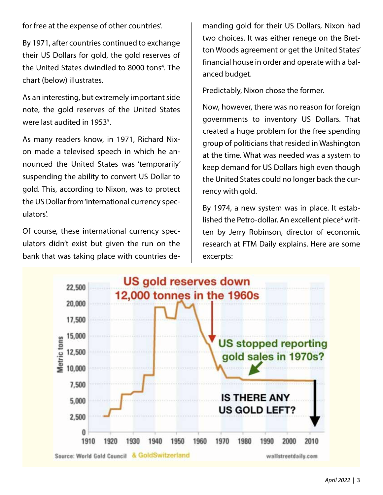for free at the expense of other countries'.

By 1971, after countries continued to exchange their US Dollars for gold, the gold reserves of the United States dwindled to 8000 tons<sup>4</sup>. The chart (below) illustrates.

As an interesting, but extremely important side note, the gold reserves of the United States were last audited in 1953<sup>5</sup>.

As many readers know, in 1971, Richard Nixon made a televised speech in which he announced the United States was 'temporarily' suspending the ability to convert US Dollar to gold. This, according to Nixon, was to protect the US Dollar from 'international currency speculators'.

Of course, these international currency speculators didn't exist but given the run on the bank that was taking place with countries demanding gold for their US Dollars, Nixon had two choices. It was either renege on the Bretton Woods agreement or get the United States' financial house in order and operate with a balanced budget.

Predictably, Nixon chose the former.

Now, however, there was no reason for foreign governments to inventory US Dollars. That created a huge problem for the free spending group of politicians that resided in Washington at the time. What was needed was a system to keep demand for US Dollars high even though the United States could no longer back the currency with gold.

By 1974, a new system was in place. It established the Petro-dollar. An excellent piece<sup>6</sup> written by Jerry Robinson, director of economic research at FTM Daily explains. Here are some excerpts:

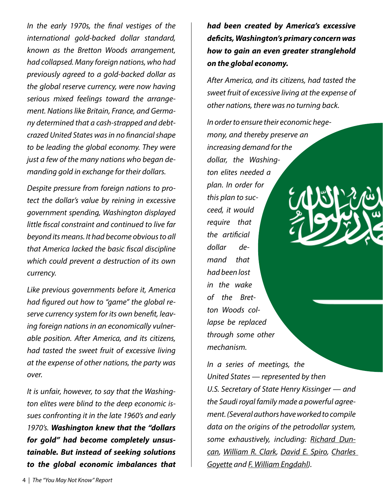*In the early 1970s, the final vestiges of the international gold-backed dollar standard, known as the Bretton Woods arrangement, had collapsed. Many foreign nations, who had previously agreed to a gold-backed dollar as the global reserve currency, were now having serious mixed feelings toward the arrangement. Nations like Britain, France, and Germany determined that a cash-strapped and debtcrazed United States was in no financial shape to be leading the global economy. They were just a few of the many nations who began demanding gold in exchange for their dollars.*

*Despite pressure from foreign nations to protect the dollar's value by reining in excessive government spending, Washington displayed little fiscal constraint and continued to live far beyond its means. It had become obvious to all that America lacked the basic fiscal discipline which could prevent a destruction of its own currency.*

*Like previous governments before it, America had figured out how to "game" the global reserve currency system for its own benefit, leaving foreign nations in an economically vulnerable position. After America, and its citizens, had tasted the sweet fruit of excessive living at the expense of other nations, the party was over.*

*It is unfair, however, to say that the Washington elites were blind to the deep economic issues confronting it in the late 1960's and early 1970's. Washington knew that the "dollars for gold" had become completely unsustainable. But instead of seeking solutions to the global economic imbalances that*  *had been created by America's excessive deficits, Washington's primary concern was how to gain an even greater stranglehold on the global economy.*

*After America, and its citizens, had tasted the sweet fruit of excessive living at the expense of other nations, there was no turning back.*

*In order to ensure their economic hegemony, and thereby preserve an increasing demand for the dollar, the Washington elites needed a plan. In order for this plan to succeed, it would require that the artificial dollar demand that had been lost in the wake of the Bretton Woods collapse be replaced through some other mechanism.*

*In a series of meetings, the* 

*Goyette and F. William Engdahl).*

*United States — represented by then* 

*U.S. Secretary of State Henry Kissinger — and* 

*the Saudi royal family made a powerful agree-*

*ment. (Several authors have worked to compile data on the origins of the petrodollar system,* 

*some exhaustively, including: Richard Duncan, William R. Clark, David E. Spiro, Charles* 

4 | *The "You May Not Know" Report*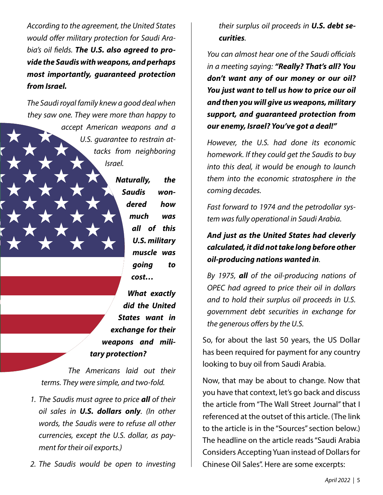*According to the agreement, the United States would offer military protection for Saudi Arabia's oil fields. The U.S. also agreed to provide the Saudis with weapons, and perhaps most importantly, guaranteed protection from Israel.*

*The Saudi royal family knew a good deal when they saw one. They were more than happy to accept American weapons and a U.S. guarantee to restrain attacks from neighboring Israel.*

> *Naturally, the Saudis wondered how much was all of this U.S. military muscle was going to cost…*

*What exactly did the United States want in exchange for their weapons and military protection?*

*The Americans laid out their terms. They were simple, and two-fold.*

- *1. The Saudis must agree to price all of their oil sales in U.S. dollars only. (In other words, the Saudis were to refuse all other currencies, except the U.S. dollar, as payment for their oil exports.)*
- *2. The Saudis would be open to investing*

*their surplus oil proceeds in U.S. debt securities.*

*You can almost hear one of the Saudi officials in a meeting saying: "Really? That's all? You don't want any of our money or our oil? You just want to tell us how to price our oil and then you will give us weapons, military support, and guaranteed protection from our enemy, Israel? You've got a deal!"*

*However, the U.S. had done its economic homework. If they could get the Saudis to buy into this deal, it would be enough to launch them into the economic stratosphere in the coming decades.*

*Fast forward to 1974 and the petrodollar system was fully operational in Saudi Arabia.*

#### *And just as the United States had cleverly calculated, it did not take long before other oil-producing nations wanted in.*

*By 1975, all of the oil-producing nations of OPEC had agreed to price their oil in dollars and to hold their surplus oil proceeds in U.S. government debt securities in exchange for the generous offers by the U.S.*

So, for about the last 50 years, the US Dollar has been required for payment for any country looking to buy oil from Saudi Arabia.

Now, that may be about to change. Now that you have that context, let's go back and discuss the article from "The Wall Street Journal" that I referenced at the outset of this article. (The link to the article is in the "Sources" section below.) The headline on the article reads "Saudi Arabia Considers Accepting Yuan instead of Dollars for Chinese Oil Sales". Here are some excerpts: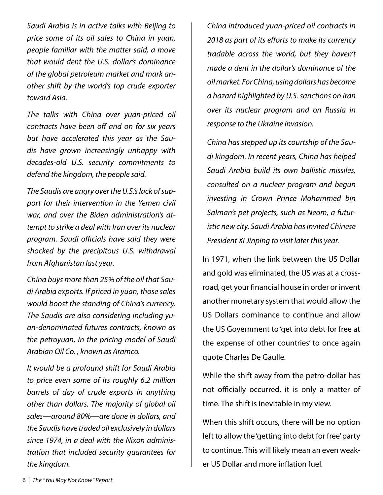*Saudi Arabia is in active talks with Beijing to price some of its oil sales to China in yuan, people familiar with the matter said, a move that would dent the U.S. dollar's dominance of the global petroleum market and mark another shift by the world's top crude exporter toward Asia.*

*The talks with China over yuan-priced oil contracts have been off and on for six years but have accelerated this year as the Saudis have grown increasingly unhappy with decades-old U.S. security commitments to defend the kingdom, the people said.*

*The Saudis are angry over the U.S.'s lack of support for their intervention in the Yemen civil war, and over the Biden administration's attempt to strike a deal with Iran over its nuclear program. Saudi officials have said they were shocked by the precipitous U.S. withdrawal from Afghanistan last year.*

*China buys more than 25% of the oil that Saudi Arabia exports. If priced in yuan, those sales would boost the standing of China's currency. The Saudis are also considering including yuan-denominated futures contracts, known as the petroyuan, in the pricing model of Saudi Arabian Oil Co. , known as Aramco.*

*It would be a profound shift for Saudi Arabia to price even some of its roughly 6.2 million barrels of day of crude exports in anything other than dollars. The majority of global oil sales—around 80%—are done in dollars, and the Saudis have traded oil exclusively in dollars since 1974, in a deal with the Nixon administration that included security guarantees for the kingdom.*

*China introduced yuan-priced oil contracts in 2018 as part of its efforts to make its currency tradable across the world, but they haven't made a dent in the dollar's dominance of the oil market. For China, using dollars has become a hazard highlighted by U.S. sanctions on Iran over its nuclear program and on Russia in response to the Ukraine invasion.*

*China has stepped up its courtship of the Saudi kingdom. In recent years, China has helped Saudi Arabia build its own ballistic missiles, consulted on a nuclear program and begun investing in Crown Prince Mohammed bin Salman's pet projects, such as Neom, a futuristic new city. Saudi Arabia has invited Chinese President Xi Jinping to visit later this year.*

In 1971, when the link between the US Dollar and gold was eliminated, the US was at a crossroad, get your financial house in order or invent another monetary system that would allow the US Dollars dominance to continue and allow the US Government to 'get into debt for free at the expense of other countries' to once again quote Charles De Gaulle.

While the shift away from the petro-dollar has not officially occurred, it is only a matter of time. The shift is inevitable in my view.

When this shift occurs, there will be no option left to allow the 'getting into debt for free' party to continue. This will likely mean an even weaker US Dollar and more inflation fuel.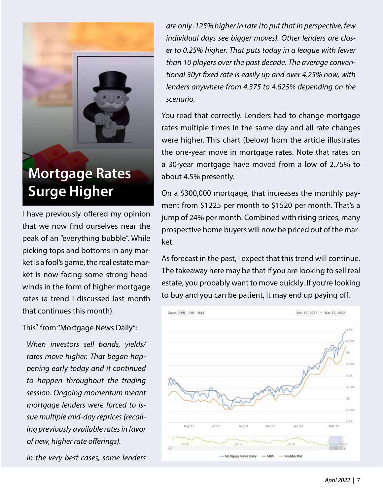

I have previously offered my opinion that we now find ourselves near the peak of an "everything bubble". While picking tops and bottoms in any market is a fool's game, the real estate market is now facing some strong headwinds in the form of higher mortgage rates (a trend I discussed last month that continues this month).

This7 from "Mortgage News Daily":

*When investors sell bonds, yields/ rates move higher. That began happening early today and it continued to happen throughout the trading session. Ongoing momentum meant mortgage lenders were forced to issue multiple mid-day reprices (recalling previously available rates in favor of new, higher rate offerings).* 

*In the very best cases, some lenders* 

*are only .125% higher in rate (to put that in perspective, few individual days see bigger moves). Other lenders are closer to 0.25% higher. That puts today in a league with fewer than 10 players over the past decade. The average conventional 30yr fixed rate is easily up and over 4.25% now, with lenders anywhere from 4.375 to 4.625% depending on the scenario.* 

You read that correctly. Lenders had to change mortgage rates multiple times in the same day and all rate changes were higher. This chart (below) from the article illustrates the one-year move in mortgage rates. Note that rates on a 30-year mortgage have moved from a low of 2.75% to about 4.5% presently.

On a \$300,000 mortgage, that increases the monthly payment from \$1225 per month to \$1520 per month. That's a jump of 24% per month. Combined with rising prices, many prospective home buyers will now be priced out of the market.

As forecast in the past, I expect that this trend will continue. The takeaway here may be that if you are looking to sell real estate, you probably want to move quickly. If you're looking to buy and you can be patient, it may end up paying off.

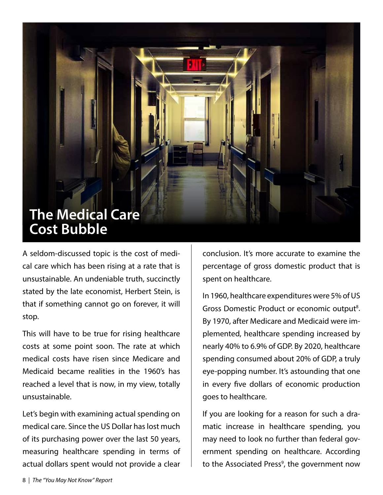## **The Medical Care Cost Bubble**

A seldom-discussed topic is the cost of medical care which has been rising at a rate that is unsustainable. An undeniable truth, succinctly stated by the late economist, Herbert Stein, is that if something cannot go on forever, it will stop.

This will have to be true for rising healthcare costs at some point soon. The rate at which medical costs have risen since Medicare and Medicaid became realities in the 1960's has reached a level that is now, in my view, totally unsustainable.

Let's begin with examining actual spending on medical care. Since the US Dollar has lost much of its purchasing power over the last 50 years, measuring healthcare spending in terms of actual dollars spent would not provide a clear

conclusion. It's more accurate to examine the percentage of gross domestic product that is spent on healthcare.

In 1960, healthcare expenditures were 5% of US Gross Domestic Product or economic output<sup>8</sup>. By 1970, after Medicare and Medicaid were implemented, healthcare spending increased by nearly 40% to 6.9% of GDP. By 2020, healthcare spending consumed about 20% of GDP, a truly eye-popping number. It's astounding that one in every five dollars of economic production goes to healthcare.

If you are looking for a reason for such a dramatic increase in healthcare spending, you may need to look no further than federal government spending on healthcare. According to the Associated Press<sup>9</sup>, the government now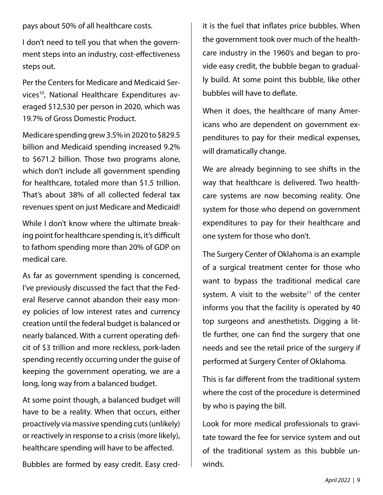pays about 50% of all healthcare costs.

I don't need to tell you that when the government steps into an industry, cost-effectiveness steps out.

Per the Centers for Medicare and Medicaid Services<sup>10</sup>, National Healthcare Expenditures averaged \$12,530 per person in 2020, which was 19.7% of Gross Domestic Product.

Medicare spending grew 3.5% in 2020 to \$829.5 billion and Medicaid spending increased 9.2% to \$671.2 billion. Those two programs alone, which don't include all government spending for healthcare, totaled more than \$1.5 trillion. That's about 38% of all collected federal tax revenues spent on just Medicare and Medicaid!

While I don't know where the ultimate breaking point for healthcare spending is, it's difficult to fathom spending more than 20% of GDP on medical care.

As far as government spending is concerned, I've previously discussed the fact that the Federal Reserve cannot abandon their easy money policies of low interest rates and currency creation until the federal budget is balanced or nearly balanced. With a current operating deficit of \$3 trillion and more reckless, pork-laden spending recently occurring under the guise of keeping the government operating, we are a long, long way from a balanced budget.

At some point though, a balanced budget will have to be a reality. When that occurs, either proactively via massive spending cuts (unlikely) or reactively in response to a crisis (more likely), healthcare spending will have to be affected.

Bubbles are formed by easy credit. Easy cred-

it is the fuel that inflates price bubbles. When the government took over much of the healthcare industry in the 1960's and began to provide easy credit, the bubble began to gradually build. At some point this bubble, like other bubbles will have to deflate.

When it does, the healthcare of many Americans who are dependent on government expenditures to pay for their medical expenses, will dramatically change.

We are already beginning to see shifts in the way that healthcare is delivered. Two healthcare systems are now becoming reality. One system for those who depend on government expenditures to pay for their healthcare and one system for those who don't.

The Surgery Center of Oklahoma is an example of a surgical treatment center for those who want to bypass the traditional medical care system. A visit to the website<sup>11</sup> of the center informs you that the facility is operated by 40 top surgeons and anesthetists. Digging a little further, one can find the surgery that one needs and see the retail price of the surgery if performed at Surgery Center of Oklahoma.

This is far different from the traditional system where the cost of the procedure is determined by who is paying the bill.

Look for more medical professionals to gravitate toward the fee for service system and out of the traditional system as this bubble unwinds.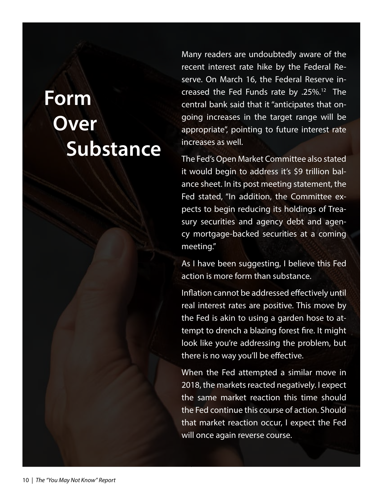## **Form Over Substance**

Many readers are undoubtedly aware of the recent interest rate hike by the Federal Reserve. On March 16, the Federal Reserve increased the Fed Funds rate by .25%.12 The central bank said that it "anticipates that ongoing increases in the target range will be appropriate", pointing to future interest rate increases as well.

The Fed's Open Market Committee also stated it would begin to address it's \$9 trillion balance sheet. In its post meeting statement, the Fed stated, "In addition, the Committee expects to begin reducing its holdings of Treasury securities and agency debt and agency mortgage-backed securities at a coming meeting."

As I have been suggesting, I believe this Fed action is more form than substance.

Inflation cannot be addressed effectively until real interest rates are positive. This move by the Fed is akin to using a garden hose to attempt to drench a blazing forest fire. It might look like you're addressing the problem, but there is no way you'll be effective.

When the Fed attempted a similar move in 2018, the markets reacted negatively. I expect the same market reaction this time should the Fed continue this course of action. Should that market reaction occur, I expect the Fed will once again reverse course.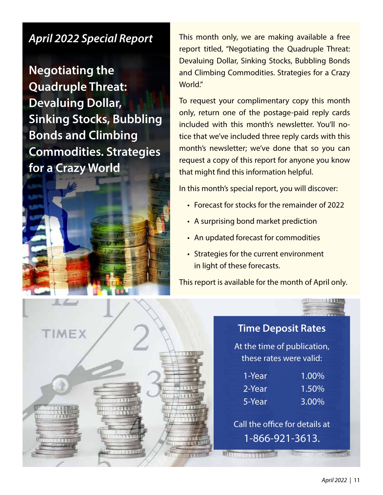#### *April 2022 Special Report*

**Negotiating the Quadruple Threat: Devaluing Dollar, Sinking Stocks, Bubbling Bonds and Climbing Commodities. Strategies for a Crazy World**



This month only, we are making available a free report titled, "Negotiating the Quadruple Threat: Devaluing Dollar, Sinking Stocks, Bubbling Bonds and Climbing Commodities. Strategies for a Crazy World"

To request your complimentary copy this month only, return one of the postage-paid reply cards included with this month's newsletter. You'll notice that we've included three reply cards with this month's newsletter; we've done that so you can request a copy of this report for anyone you know that might find this information helpful.

In this month's special report, you will discover:

- Forecast for stocks for the remainder of 2022
- A surprising bond market prediction
- An updated forecast for commodities
- Strategies for the current environment in light of these forecasts.

This report is available for the month of April only.

Time Deposit Rates

these rates were valid:

1-Year 1.00%

2-Year 1.50%

5-Year 3.00%

1-866-921-3613.